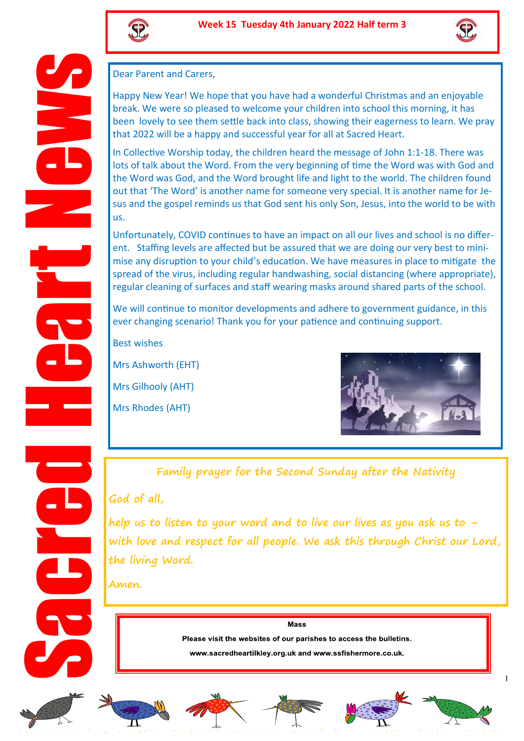



Dear Parent and Carers,

Happy New Year! We hope that you have had a wonderful Christmas and an enjoyable break. We were so pleased to welcome your children into school this morning, it has been lovely to see them settle back into class, showing their eagerness to learn. We pray that 2022 will be a happy and successful year for all at Sacred Heart.

In Collective Worship today, the children heard the message of John 1:1-18. There was lots of talk about the Word. From the very beginning of time the Word was with God and the Word was God, and the Word brought life and light to the world. The children found out that 'The Word' is another name for someone very special. It is another name for Jesus and the gospel reminds us that God sent his only Son, Jesus, into the world to be with us.

Unfortunately, COVID continues to have an impact on all our lives and school is no different. Staffing levels are affected but be assured that we are doing our very best to minimise any disruption to your child's education. We have measures in place to mitigate the spread of the virus, including regular handwashing, social distancing (where appropriate), regular cleaning of surfaces and staff wearing masks around shared parts of the school.

We will continue to monitor developments and adhere to government guidance, in this ever changing scenario! Thank you for your patience and continuing support.

Best wishes

Mrs Ashworth (EHT)

Mrs Gilhooly (AHT)

Mrs Rhodes (AHT)



**Family prayer for the Second Sunday after the Nativity**

## **God of all,**

**help us to listen to your word and to live our lives as you ask us to – with love and respect for all people. We ask this through Christ our Lord, the living Word.** 

**Amen.** 

Mass

Please visit the websites of our parishes to access the bulletins.

www.sacredheartilkley.org.uk and www.ssfishermore.co.uk.













1